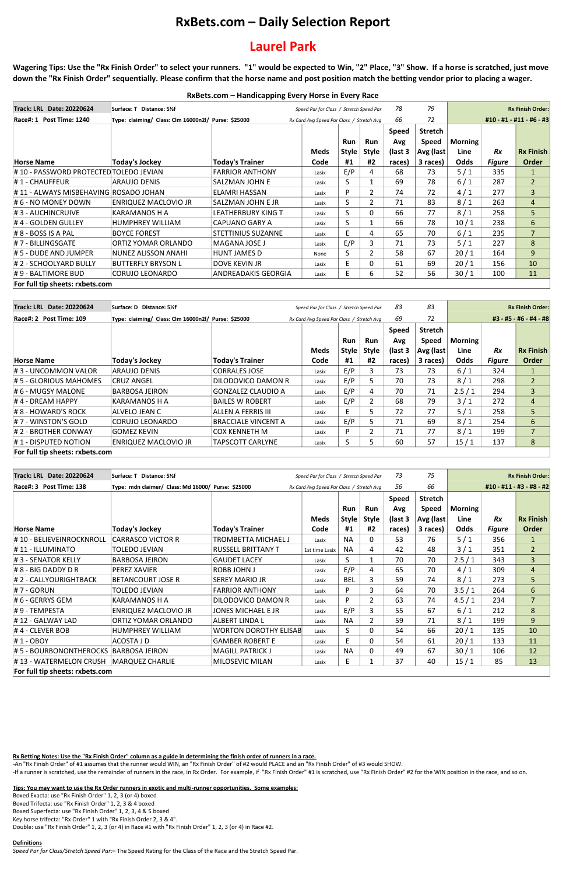## **RxBets.com – Daily Selection Report**

# **Laurel Park**

**Wagering Tips: Use the "Rx Finish Order" to select your runners. "1" would be expected to Win, "2" Place, "3" Show. If a horse is scratched, just move down the "Rx Finish Order" sequentially. Please confirm that the horse name and post position match the betting vendor prior to placing a wager.**

-An "Rx Finish Order" of #1 assumes that the runner would WIN, an "Rx Finish Order" of #2 would PLACE and an "Rx Finish Order" of #3 would SHOW. -If a runner is scratched, use the remainder of runners in the race, in Rx Order. For example, if "Rx Finish Order" #1 is scratched, use "Rx Finish Order" #2 for the WIN position in the race, and so on.

| RxBets.com - Handicapping Every Horse in Every Race |  |  |
|-----------------------------------------------------|--|--|
|-----------------------------------------------------|--|--|

### **Rx Betting Notes: Use the "Rx Finish Order" column as a guide in determining the finish order of runners in a race.**

**Tips: You may want to use the Rx Order runners in exotic and multi-runner opportunities. Some examples:**

Boxed Exacta: use "Rx Finish Order" 1, 2, 3 (or 4) boxed Boxed Trifecta: use "Rx Finish Order" 1, 2, 3 & 4 boxed Boxed Superfecta: use "Rx Finish Order" 1, 2, 3, 4 & 5 boxed Key horse trifecta: "Rx Order" 1 with "Rx Finish Order 2, 3 & 4". Double: use "Rx Finish Order" 1, 2, 3 (or 4) in Race #1 with "Rx Finish Order" 1, 2, 3 (or 4) in Race #2.

#### **Definitions**

*Speed Par for Class/Stretch Speed Par:*– The Speed Rating for the Class of the Race and the Stretch Speed Par.

| <b>Track: LRL Date: 20220624</b>        | Surface: T Distance: 5½f                            |                                         |                                           |            |                | 78           | 79           | <b>Rx Finish Order:</b>  |               |                  |  |
|-----------------------------------------|-----------------------------------------------------|-----------------------------------------|-------------------------------------------|------------|----------------|--------------|--------------|--------------------------|---------------|------------------|--|
|                                         |                                                     | Speed Par for Class / Stretch Speed Par |                                           |            |                |              |              |                          |               |                  |  |
| Race#: 1 Post Time: 1240                | Type: claiming/ Class: Clm 16000n2l/ Purse: \$25000 |                                         | Rx Card Avg Speed Par Class / Stretch Avg |            |                | 66           | 72           | #10 - #1 - #11 - #6 - #3 |               |                  |  |
|                                         |                                                     |                                         |                                           |            |                | <b>Speed</b> | Stretch      |                          |               |                  |  |
|                                         |                                                     |                                         |                                           | <b>Run</b> | <b>Run</b>     | Avg          | <b>Speed</b> | Morning                  |               |                  |  |
|                                         |                                                     |                                         | Meds                                      | Style      | <b>Style</b>   | (last 3      | Avg (last    | Line                     | <b>Rx</b>     | <b>Rx Finish</b> |  |
| <b>Horse Name</b>                       | <b>Today's Jockey</b>                               | <b>Today's Trainer</b>                  | Code                                      | #1         | #2             | races)       | 3 races)     | <b>Odds</b>              | <b>Figure</b> | <b>Order</b>     |  |
| # 10 - PASSWORD PROTECTED TOLEDO JEVIAN |                                                     | <b>FARRIOR ANTHONY</b>                  | Lasix                                     | E/P        | 4              | 68           | 73           | $5/1$                    | 335           |                  |  |
| #1 - CHAUFFEUR                          | ARAUJO DENIS                                        | SALZMAN JOHN E                          | Lasix                                     | S          |                | 69           | 78           | $6/1$                    | 287           | 2                |  |
| # 11 - ALWAYS MISBEHAVING ROSADO JOHAN  |                                                     | ELAMRI HASSAN                           | Lasix                                     | D          | $\overline{2}$ | 74           | 72           | 4/1                      | 277           | 3                |  |
| # 6 - NO MONEY DOWN                     | <b>ENRIQUEZ MACLOVIO JR</b>                         | SALZMAN JOHN E JR                       | Lasix                                     | S.         | $\overline{2}$ | 71           | 83           | 8/1                      | 263           | $\overline{4}$   |  |
| # 3 - AUCHINCRUIVE                      | KARAMANOS H A                                       | LEATHERBURY KING T                      | Lasix                                     | S          | $\mathbf{0}$   | 66           | 77           | 8/1                      | 258           | 5                |  |
| # 4 - GOLDEN GULLEY                     | <b>HUMPHREY WILLIAM</b>                             | CAPUANO GARY A                          | Lasix                                     | S.         |                | 66           | 78           | 10/1                     | 238           | 6                |  |
| $\sharp 8$ - BOSS IS A PAL              | <b>BOYCE FOREST</b>                                 | STETTINIUS SUZANNE                      | Lasix                                     | F          | 4              | 65           | 70           | $6/1$                    | 235           | $\overline{7}$   |  |
| # 7 - BILLINGSGATE                      | ORTIZ YOMAR ORLANDO                                 | MAGANA JOSE J                           | Lasix                                     | E/P        | 3              | 71           | 73           | $5/1$                    | 227           | 8                |  |
| # 5 - DUDE AND JUMPER                   | NUNEZ ALISSON ANAHI                                 | <b>HUNT JAMES D</b>                     | None                                      | S.         | $\overline{2}$ | 58           | 67           | 20/1                     | 164           | 9                |  |
| # 2 - SCHOOLYARD BULLY                  | BUTTERFLY BRYSON L                                  | DOVE KEVIN JR                           | Lasix                                     | E.         | 0              | 61           | 69           | 20/1                     | 156           | 10               |  |
| #9 - BALTIMORE BUD                      | <b>CORUJO LEONARDO</b>                              | ANDREADAKIS GEORGIA                     | Lasix                                     | E.         | 6              | 52           | 56           | 30/1                     | 100           | 11               |  |
| For full tip sheets: rxbets.com         |                                                     |                                         |                                           |            |                |              |              |                          |               |                  |  |

| Track: LRL Date: 20220624       | Surface: D Distance: 51/2<br>Speed Par for Class / Stretch Speed Par |                            | 83                                        | 83         | <b>Rx Finish Order:</b> |              |                |                        |               |                  |  |
|---------------------------------|----------------------------------------------------------------------|----------------------------|-------------------------------------------|------------|-------------------------|--------------|----------------|------------------------|---------------|------------------|--|
| Race#: 2 Post Time: 109         | Type: claiming/ Class: Clm 16000n2l/ Purse: \$25000                  |                            | Rx Card Avg Speed Par Class / Stretch Avg |            |                         | 69           | 72             | #3 - #5 - #6 - #4 - #8 |               |                  |  |
|                                 |                                                                      |                            |                                           |            |                         | <b>Speed</b> | <b>Stretch</b> |                        |               |                  |  |
|                                 |                                                                      |                            |                                           | <b>Run</b> | <b>Run</b>              | Avg          | <b>Speed</b>   | <b>Morning</b>         |               |                  |  |
|                                 |                                                                      |                            | <b>Meds</b>                               | Style      | <b>Style</b>            | (last 3      | Avg (last)     | Line                   | Rx            | <b>Rx Finish</b> |  |
| Horse Name                      | <b>Today's Jockey</b>                                                | <b>Today's Trainer</b>     | Code                                      | #1         | #2                      | races)       | 3 races)       | Odds                   | <b>Figure</b> | Order            |  |
| # 3 - UNCOMMON VALOR            | ARAUJO DENIS                                                         | <b>CORRALES JOSE</b>       | Lasix                                     | E/P        | 3                       | 73           | 73             | 6/1                    | 324           |                  |  |
| # 5 - GLORIOUS MAHOMES          | CRUZ ANGEL                                                           | DILODOVICO DAMON R         | Lasix                                     | E/P        | 5                       | 70           | 73             | 8/1                    | 298           | $\overline{2}$   |  |
| $\sharp$ 6 - MUGSY MALONE       | <b>BARBOSA JEIRON</b>                                                | <b>GONZALEZ CLAUDIO A</b>  | Lasix                                     | E/P        | 4                       | 70           | 71             | 2.5/1                  | 294           | 3                |  |
| #4 - DREAM HAPPY                | <b>KARAMANOS H A</b>                                                 | <b>BAILES W ROBERT</b>     | Lasix                                     | E/P        | 2                       | 68           | 79             | 3/1                    | 272           | $\overline{4}$   |  |
| $\# 8$ - HOWARD'S ROCK          | ALVELO JEAN C                                                        | ALLEN A FERRIS III         | Lasix                                     | E          | Ь                       | 72           | 77             | $5/1$                  | 258           | 5                |  |
| # 7 - WINSTON'S GOLD            | CORUJO LEONARDO                                                      | <b>BRACCIALE VINCENT A</b> | Lasix                                     | E/P        | 5                       | 71           | 69             | 8/1                    | 254           | 6                |  |
| $\sharp$ 2 - BROTHER CONWAY     | lgomez kevin                                                         | <b>COX KENNETH M</b>       | Lasix                                     | P          |                         | 71           | 77             | 8/1                    | 199           | 7                |  |
| $\sharp$ 1 - DISPUTED NOTION    | ENRIQUEZ MACLOVIO JR                                                 | TAPSCOTT CARLYNE           | Lasix                                     |            |                         | 60           | 57             | 15/1                   | 137           | 8                |  |
| For full tip sheets: rxbets.com |                                                                      |                            |                                           |            |                         |              |                |                        |               |                  |  |

| <b>Track: LRL Date: 20220624</b>        | Surface: T Distance: 5½f<br>Speed Par for Class / Stretch Speed Par |                              |                |                                           | 73             | 75           |              | <b>Rx Finish Order:</b>  |               |                  |
|-----------------------------------------|---------------------------------------------------------------------|------------------------------|----------------|-------------------------------------------|----------------|--------------|--------------|--------------------------|---------------|------------------|
| Race#: 3 Post Time: 138                 | Type: mdn claimer/ Class: Md 16000/ Purse: \$25000                  |                              |                | Rx Card Avg Speed Par Class / Stretch Avg |                |              | 66           | #10 - #11 - #3 - #8 - #2 |               |                  |
|                                         |                                                                     |                              |                |                                           |                | <b>Speed</b> | Stretch      |                          |               |                  |
|                                         |                                                                     |                              |                | Run                                       | Run            | Avg          | <b>Speed</b> | Morning                  |               |                  |
|                                         |                                                                     |                              | Meds           | Style                                     | <b>Style</b>   | (last 3)     | Avg (last    | Line                     | <b>Rx</b>     | <b>Rx Finish</b> |
| Horse Name                              | <b>Today's Jockey</b>                                               | <b>Today's Trainer</b>       | Code           | #1                                        | #2             | races)       | 3 races)     | <b>Odds</b>              | <b>Figure</b> | Order            |
| # 10 - BELIEVEINROCKNROLL               | CARRASCO VICTOR R                                                   | TROMBETTA MICHAEL J          | Lasix          | <b>NA</b>                                 | $\mathbf{0}$   | 53           | 76           | $5/1$                    | 356           |                  |
| # 11 - ILLUMINATO                       | <b>TOLEDO JEVIAN</b>                                                | <b>RUSSELL BRITTANY T</b>    | 1st time Lasix | <b>NA</b>                                 | 4              | 42           | 48           | 3/1                      | 351           | $\overline{2}$   |
| # 3 - SENATOR KELLY                     | <b>BARBOSA JEIRON</b>                                               | <b>GAUDET LACEY</b>          | Lasix          | S.                                        |                | 70           | 70           | 2.5/1                    | 343           | 3                |
| $\sharp$ 8 - BIG DADDY D R              | <b>PEREZ XAVIER</b>                                                 | ROBB JOHN J                  | Lasix          | E/P                                       | 4              | 65           | 70           | 4/1                      | 309           | $\overline{4}$   |
| # 2 - CALLYOURIGHTBACK                  | BETANCOURT JOSE R                                                   | <b>SEREY MARIO JR</b>        | Lasix          | <b>BEL</b>                                | 3              | 59           | 74           | 8/1                      | 273           | 5                |
| #7 - GORUN                              | <b>TOLEDO JEVIAN</b>                                                | <b>FARRIOR ANTHONY</b>       | Lasix          | P                                         | 3              | 64           | 70           | 3.5/1                    | 264           | 6                |
| # 6 - GERRYS GEM                        | <b>KARAMANOS H A</b>                                                | DILODOVICO DAMON R           | Lasix          | Þ.                                        | $\overline{2}$ | 63           | 74           | 4.5/1                    | 234           | 7                |
| $\sharp$ 9 - TEMPESTA                   | <b>ENRIQUEZ MACLOVIO JR</b>                                         | JONES MICHAEL E JR           | Lasix          | E/P                                       | 3              | 55           | 67           | $6/1$                    | 212           | 8                |
| #12 - GALWAY LAD                        | ORTIZ YOMAR ORLANDO                                                 | ALBERT LINDA L               | Lasix          | <b>NA</b>                                 | $\overline{2}$ | 59           | 71           | 8/1                      | 199           | 9                |
| #4 - CLEVER BOB                         | <b>HUMPHREY WILLIAM</b>                                             | <b>WORTON DOROTHY ELISAB</b> | Lasix          | S.                                        | 0              | 54           | 66           | 20/1                     | 135           | 10               |
| #1-OBOY                                 | ACOSTA J D                                                          | <b>GAMBER ROBERT E</b>       | Lasix          | E                                         | 0              | 54           | 61           | 20/1                     | 133           | 11               |
| #5 - BOURBONONTHEROCKS   BARBOSA JEIRON |                                                                     | <b>MAGILL PATRICK J</b>      | Lasix          | <b>NA</b>                                 | 0              | 49           | 67           | 30/1                     | 106           | 12               |
| # 13 - WATERMELON CRUSH                 | MARQUEZ CHARLIE                                                     | MILOSEVIC MILAN              | Lasix          | E.                                        |                | 37           | 40           | 15/1                     | 85            | 13               |
| For full tip sheets: rxbets.com         |                                                                     |                              |                |                                           |                |              |              |                          |               |                  |